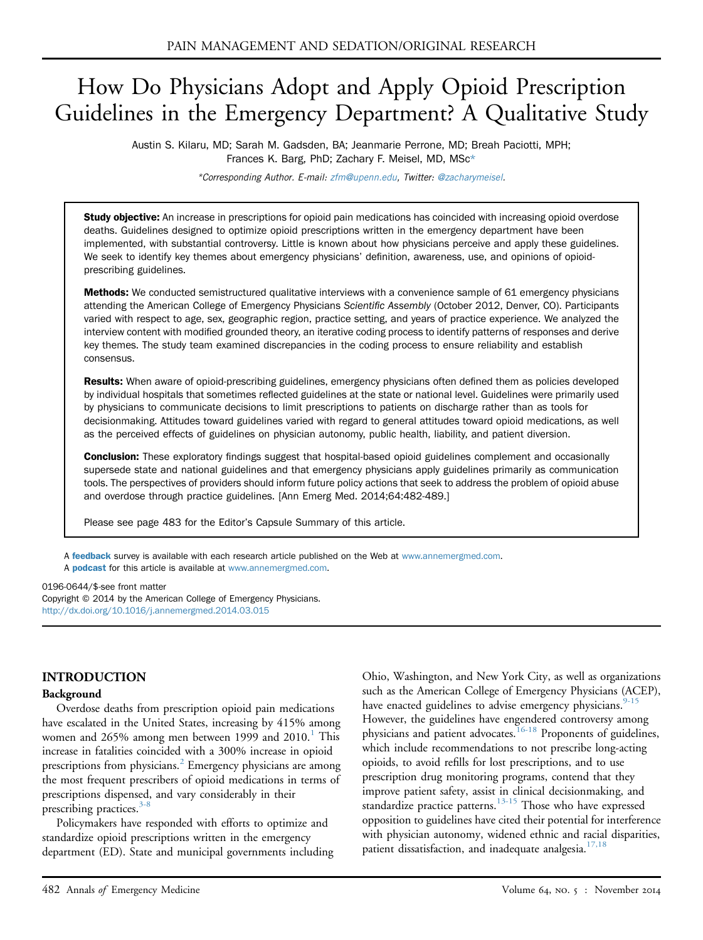# How Do Physicians Adopt and Apply Opioid Prescription Guidelines in the Emergency Department? A Qualitative Study

Austin S. Kilaru, MD; Sarah M. Gadsden, BA; Jeanmarie Perrone, MD; Breah Paciotti, MPH; Frances K. Barg, PhD; Zachary F. Meisel, MD, MSc\*

\*Corresponding Author. E-mail: [zfm@upenn.edu](mailto:zfm@upenn.edu), Twitter: @zacharymeisel.

Study objective: An increase in prescriptions for opioid pain medications has coincided with increasing opioid overdose deaths. Guidelines designed to optimize opioid prescriptions written in the emergency department have been implemented, with substantial controversy. Little is known about how physicians perceive and apply these guidelines. We seek to identify key themes about emergency physicians' definition, awareness, use, and opinions of opioidprescribing guidelines.

Methods: We conducted semistructured qualitative interviews with a convenience sample of 61 emergency physicians attending the American College of Emergency Physicians Scientific Assembly (October 2012, Denver, CO). Participants varied with respect to age, sex, geographic region, practice setting, and years of practice experience. We analyzed the interview content with modified grounded theory, an iterative coding process to identify patterns of responses and derive key themes. The study team examined discrepancies in the coding process to ensure reliability and establish consensus.

Results: When aware of opioid-prescribing guidelines, emergency physicians often defined them as policies developed by individual hospitals that sometimes reflected guidelines at the state or national level. Guidelines were primarily used by physicians to communicate decisions to limit prescriptions to patients on discharge rather than as tools for decisionmaking. Attitudes toward guidelines varied with regard to general attitudes toward opioid medications, as well as the perceived effects of guidelines on physician autonomy, public health, liability, and patient diversion.

**Conclusion:** These exploratory findings suggest that hospital-based opioid guidelines complement and occasionally supersede state and national guidelines and that emergency physicians apply guidelines primarily as communication tools. The perspectives of providers should inform future policy actions that seek to address the problem of opioid abuse and overdose through practice guidelines. [Ann Emerg Med. 2014;64:482-489.]

Please see page 483 for the Editor's Capsule Summary of this article.

A **[feedback](https://www.surveymonkey.com/s/JBYGNTB)** survey is available with each research article published on the Web at [www.annemergmed.com.](http://www.annemergmed.com) A **[podcast](http://annemergmed.com/content/podcast)** for this article is available at [www.annemergmed.com](http://www.annemergmed.com).

0196-0644/\$-see front matter

Copyright © 2014 by the American College of Emergency Physicians. <http://dx.doi.org/10.1016/j.annemergmed.2014.03.015>

## INTRODUCTION

#### Background

Overdose deaths from prescription opioid pain medications have escalated in the United States, increasing by 415% among women and 265% among men between [1](#page-6-0)999 and 2010.<sup>1</sup> This increase in fatalities coincided with a 300% increase in opioid prescriptions from physicians.<sup>[2](#page-6-1)</sup> Emergency physicians are among the most frequent prescribers of opioid medications in terms of prescriptions dispensed, and vary considerably in their prescribing practices. $3-8$ 

Policymakers have responded with efforts to optimize and standardize opioid prescriptions written in the emergency department (ED). State and municipal governments including Ohio, Washington, and New York City, as well as organizations such as the American College of Emergency Physicians (ACEP), have enacted guidelines to advise emergency physicians.<sup>[9-15](#page-6-3)</sup> However, the guidelines have engendered controversy among physicians and patient advocates.<sup>[16-18](#page-7-0)</sup> Proponents of guidelines, which include recommendations to not prescribe long-acting opioids, to avoid refills for lost prescriptions, and to use prescription drug monitoring programs, contend that they improve patient safety, assist in clinical decisionmaking, and standardize practice patterns.<sup>[13-15](#page-6-4)</sup> Those who have expressed opposition to guidelines have cited their potential for interference with physician autonomy, widened ethnic and racial disparities, patient dissatisfaction, and inadequate analgesia.<sup>[17,18](#page-7-1)</sup>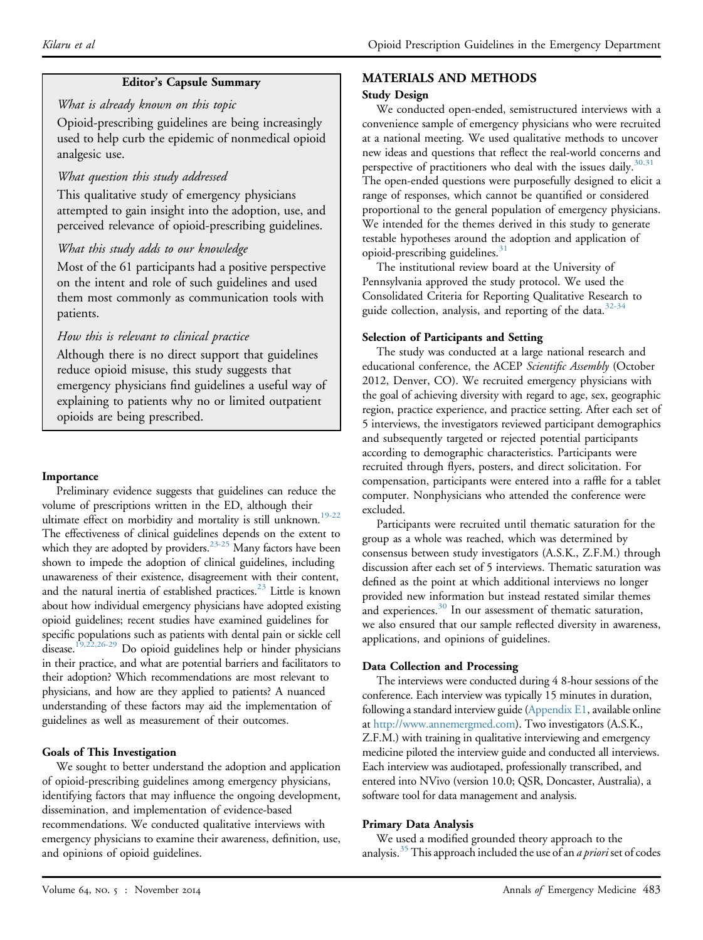# Editor's Capsule Summary

## What is already known on this topic

Opioid-prescribing guidelines are being increasingly used to help curb the epidemic of nonmedical opioid analgesic use.

# What question this study addressed

This qualitative study of emergency physicians attempted to gain insight into the adoption, use, and perceived relevance of opioid-prescribing guidelines.

# What this study adds to our knowledge

Most of the 61 participants had a positive perspective on the intent and role of such guidelines and used them most commonly as communication tools with patients.

# How this is relevant to clinical practice

Although there is no direct support that guidelines reduce opioid misuse, this study suggests that emergency physicians find guidelines a useful way of explaining to patients why no or limited outpatient opioids are being prescribed.

## Importance

Preliminary evidence suggests that guidelines can reduce the volume of prescriptions written in the ED, although their ultimate effect on morbidity and mortality is still unknown.<sup>[19-22](#page-7-2)</sup> The effectiveness of clinical guidelines depends on the extent to which they are adopted by providers.<sup>23-25</sup> Many factors have been shown to impede the adoption of clinical guidelines, including unawareness of their existence, disagreement with their content, and the natural inertia of established practices.<sup>23</sup> Little is known about how individual emergency physicians have adopted existing opioid guidelines; recent studies have examined guidelines for specific populations such as patients with dental pain or sickle cell disease.<sup>19,22,26-29</sup> Do opioid guidelines help or hinder physicians in their practice, and what are potential barriers and facilitators to their adoption? Which recommendations are most relevant to physicians, and how are they applied to patients? A nuanced understanding of these factors may aid the implementation of guidelines as well as measurement of their outcomes.

## Goals of This Investigation

We sought to better understand the adoption and application of opioid-prescribing guidelines among emergency physicians, identifying factors that may influence the ongoing development, dissemination, and implementation of evidence-based recommendations. We conducted qualitative interviews with emergency physicians to examine their awareness, definition, use, and opinions of opioid guidelines.

# MATERIALS AND METHODS

#### Study Design

We conducted open-ended, semistructured interviews with a convenience sample of emergency physicians who were recruited at a national meeting. We used qualitative methods to uncover new ideas and questions that reflect the real-world concerns and perspective of practitioners who deal with the issues daily.<sup>[30,31](#page-7-4)</sup> The open-ended questions were purposefully designed to elicit a range of responses, which cannot be quantified or considered proportional to the general population of emergency physicians. We intended for the themes derived in this study to generate testable hypotheses around the adoption and application of opioid-prescribing guidelines. $31$ 

The institutional review board at the University of Pennsylvania approved the study protocol. We used the Consolidated Criteria for Reporting Qualitative Research to guide collection, analysis, and reporting of the data.  $32-34$ 

#### Selection of Participants and Setting

The study was conducted at a large national research and educational conference, the ACEP Scientific Assembly (October 2012, Denver, CO). We recruited emergency physicians with the goal of achieving diversity with regard to age, sex, geographic region, practice experience, and practice setting. After each set of 5 interviews, the investigators reviewed participant demographics and subsequently targeted or rejected potential participants according to demographic characteristics. Participants were recruited through flyers, posters, and direct solicitation. For compensation, participants were entered into a raffle for a tablet computer. Nonphysicians who attended the conference were excluded.

Participants were recruited until thematic saturation for the group as a whole was reached, which was determined by consensus between study investigators (A.S.K., Z.F.M.) through discussion after each set of 5 interviews. Thematic saturation was defined as the point at which additional interviews no longer provided new information but instead restated similar themes and experiences.<sup>[30](#page-7-4)</sup> In our assessment of thematic saturation, we also ensured that our sample reflected diversity in awareness, applications, and opinions of guidelines.

## Data Collection and Processing

The interviews were conducted during 4 8-hour sessions of the conference. Each interview was typically 15 minutes in duration, following a standard interview guide (Appendix E1, available online at [http://www.annemergmed.com\)](http://www.annemergmed.com). Two investigators (A.S.K., Z.F.M.) with training in qualitative interviewing and emergency medicine piloted the interview guide and conducted all interviews. Each interview was audiotaped, professionally transcribed, and entered into NVivo (version 10.0; QSR, Doncaster, Australia), a software tool for data management and analysis.

## Primary Data Analysis

We used a modified grounded theory approach to the analysis.<sup>[35](#page-7-7)</sup> This approach included the use of an *a priori* set of codes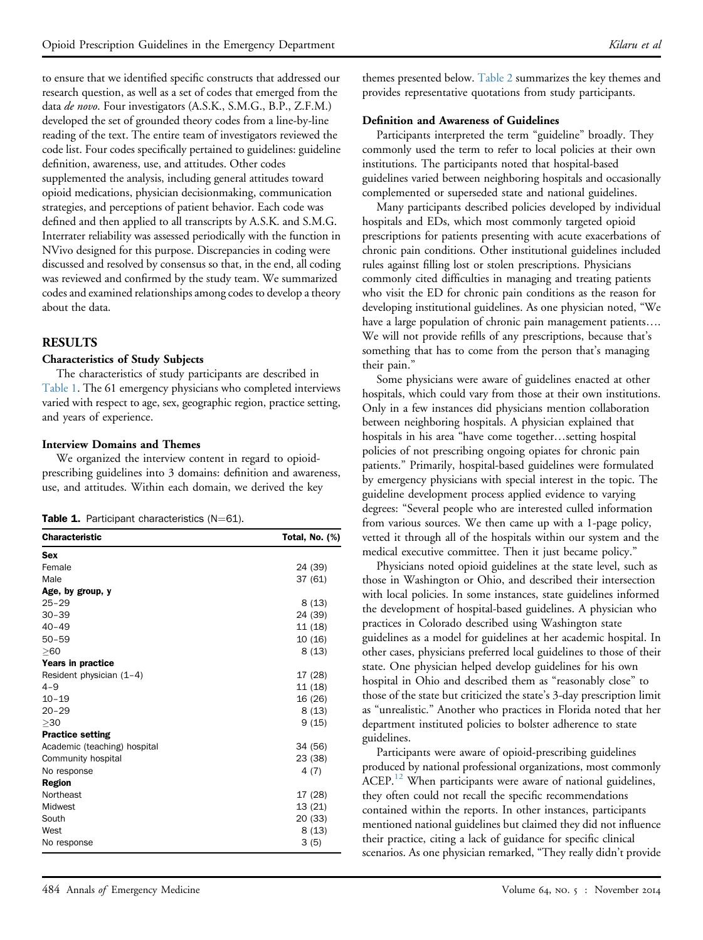to ensure that we identified specific constructs that addressed our research question, as well as a set of codes that emerged from the data *de novo*. Four investigators (A.S.K., S.M.G., B.P., Z.F.M.) developed the set of grounded theory codes from a line-by-line reading of the text. The entire team of investigators reviewed the code list. Four codes specifically pertained to guidelines: guideline definition, awareness, use, and attitudes. Other codes supplemented the analysis, including general attitudes toward opioid medications, physician decisionmaking, communication strategies, and perceptions of patient behavior. Each code was defined and then applied to all transcripts by A.S.K. and S.M.G. Interrater reliability was assessed periodically with the function in NVivo designed for this purpose. Discrepancies in coding were discussed and resolved by consensus so that, in the end, all coding was reviewed and confirmed by the study team. We summarized codes and examined relationships among codes to develop a theory about the data.

#### RESULTS

#### Characteristics of Study Subjects

The characteristics of study participants are described in [Table 1](#page-2-0). The 61 emergency physicians who completed interviews varied with respect to age, sex, geographic region, practice setting, and years of experience.

#### Interview Domains and Themes

We organized the interview content in regard to opioidprescribing guidelines into 3 domains: definition and awareness, use, and attitudes. Within each domain, we derived the key

<span id="page-2-0"></span>

| <b>Table 1.</b> Participant characteristics $(N=61)$ . |  |
|--------------------------------------------------------|--|
|--------------------------------------------------------|--|

| <b>Characteristic</b>        | Total, No. (%) |
|------------------------------|----------------|
| <b>Sex</b>                   |                |
| Female                       | 24 (39)        |
| Male                         | 37 (61)        |
| Age, by group, y             |                |
| $25 - 29$                    | 8(13)          |
| $30 - 39$                    | 24 (39)        |
| $40 - 49$                    | 11 (18)        |
| $50 - 59$                    | 10 (16)        |
| >60                          | 8(13)          |
| Years in practice            |                |
| Resident physician $(1-4)$   | 17 (28)        |
| $4 - 9$                      | 11 (18)        |
| $10 - 19$                    | 16 (26)        |
| $20 - 29$                    | 8(13)          |
| >30                          | 9(15)          |
| <b>Practice setting</b>      |                |
| Academic (teaching) hospital | 34 (56)        |
| Community hospital           | 23 (38)        |
| No response                  | 4(7)           |
| Region                       |                |
| Northeast                    | 17 (28)        |
| Midwest                      | 13 (21)        |
| South                        | 20 (33)        |
| West                         | 8(13)          |
| No response                  | 3(5)           |

themes presented below. [Table 2](#page-3-0) summarizes the key themes and provides representative quotations from study participants.

#### Definition and Awareness of Guidelines

Participants interpreted the term "guideline" broadly. They commonly used the term to refer to local policies at their own institutions. The participants noted that hospital-based guidelines varied between neighboring hospitals and occasionally complemented or superseded state and national guidelines.

Many participants described policies developed by individual hospitals and EDs, which most commonly targeted opioid prescriptions for patients presenting with acute exacerbations of chronic pain conditions. Other institutional guidelines included rules against filling lost or stolen prescriptions. Physicians commonly cited difficulties in managing and treating patients who visit the ED for chronic pain conditions as the reason for developing institutional guidelines. As one physician noted, "We have a large population of chronic pain management patients.... We will not provide refills of any prescriptions, because that's something that has to come from the person that's managing their pain."

Some physicians were aware of guidelines enacted at other hospitals, which could vary from those at their own institutions. Only in a few instances did physicians mention collaboration between neighboring hospitals. A physician explained that hospitals in his area "have come together...setting hospital policies of not prescribing ongoing opiates for chronic pain patients." Primarily, hospital-based guidelines were formulated by emergency physicians with special interest in the topic. The guideline development process applied evidence to varying degrees: "Several people who are interested culled information from various sources. We then came up with a 1-page policy, vetted it through all of the hospitals within our system and the medical executive committee. Then it just became policy."

Physicians noted opioid guidelines at the state level, such as those in Washington or Ohio, and described their intersection with local policies. In some instances, state guidelines informed the development of hospital-based guidelines. A physician who practices in Colorado described using Washington state guidelines as a model for guidelines at her academic hospital. In other cases, physicians preferred local guidelines to those of their state. One physician helped develop guidelines for his own hospital in Ohio and described them as "reasonably close" to those of the state but criticized the state's 3-day prescription limit as "unrealistic." Another who practices in Florida noted that her department instituted policies to bolster adherence to state guidelines.

Participants were aware of opioid-prescribing guidelines produced by national professional organizations, most commonly ACEP.<sup>[12](#page-6-5)</sup> When participants were aware of national guidelines, they often could not recall the specific recommendations contained within the reports. In other instances, participants mentioned national guidelines but claimed they did not influence their practice, citing a lack of guidance for specific clinical scenarios. As one physician remarked, "They really didn't provide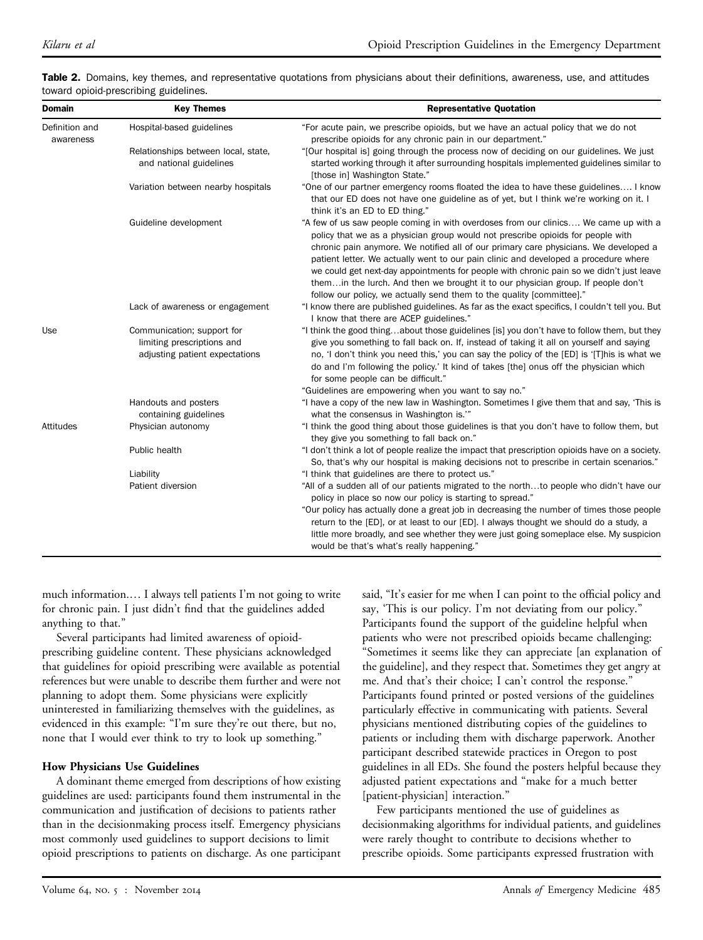| <b>Domain</b>               | <b>Key Themes</b>                                                                          | <b>Representative Quotation</b>                                                                                                                                                                                                                                                                                                                                                                                                                                                                                                                                                                               |
|-----------------------------|--------------------------------------------------------------------------------------------|---------------------------------------------------------------------------------------------------------------------------------------------------------------------------------------------------------------------------------------------------------------------------------------------------------------------------------------------------------------------------------------------------------------------------------------------------------------------------------------------------------------------------------------------------------------------------------------------------------------|
| Definition and<br>awareness | Hospital-based guidelines                                                                  | "For acute pain, we prescribe opioids, but we have an actual policy that we do not<br>prescribe opioids for any chronic pain in our department."                                                                                                                                                                                                                                                                                                                                                                                                                                                              |
|                             | Relationships between local, state,<br>and national guidelines                             | "[Our hospital is] going through the process now of deciding on our guidelines. We just<br>started working through it after surrounding hospitals implemented guidelines similar to<br>[those in] Washington State."                                                                                                                                                                                                                                                                                                                                                                                          |
|                             | Variation between nearby hospitals                                                         | "One of our partner emergency rooms floated the idea to have these guidelines I know<br>that our ED does not have one guideline as of yet, but I think we're working on it. I<br>think it's an ED to ED thing."                                                                                                                                                                                                                                                                                                                                                                                               |
|                             | Guideline development                                                                      | "A few of us saw people coming in with overdoses from our clinics We came up with a<br>policy that we as a physician group would not prescribe opioids for people with<br>chronic pain anymore. We notified all of our primary care physicians. We developed a<br>patient letter. We actually went to our pain clinic and developed a procedure where<br>we could get next-day appointments for people with chronic pain so we didn't just leave<br>themin the lurch. And then we brought it to our physician group. If people don't<br>follow our policy, we actually send them to the quality [committee]." |
|                             | Lack of awareness or engagement                                                            | "I know there are published guidelines. As far as the exact specifics, I couldn't tell you. But<br>I know that there are ACEP guidelines."                                                                                                                                                                                                                                                                                                                                                                                                                                                                    |
| Use                         | Communication; support for<br>limiting prescriptions and<br>adjusting patient expectations | "I think the good thingabout those guidelines [is] you don't have to follow them, but they<br>give you something to fall back on. If, instead of taking it all on yourself and saying<br>no, 'I don't think you need this,' you can say the policy of the [ED] is '[T] his is what we<br>do and I'm following the policy.' It kind of takes [the] onus off the physician which<br>for some people can be difficult."<br>"Guidelines are empowering when you want to say no."                                                                                                                                  |
|                             | Handouts and posters<br>containing guidelines                                              | "I have a copy of the new law in Washington. Sometimes I give them that and say, 'This is<br>what the consensus in Washington is."                                                                                                                                                                                                                                                                                                                                                                                                                                                                            |
| Attitudes                   | Physician autonomy                                                                         | "I think the good thing about those guidelines is that you don't have to follow them, but<br>they give you something to fall back on."                                                                                                                                                                                                                                                                                                                                                                                                                                                                        |
|                             | Public health                                                                              | "I don't think a lot of people realize the impact that prescription opioids have on a society.<br>So, that's why our hospital is making decisions not to prescribe in certain scenarios."                                                                                                                                                                                                                                                                                                                                                                                                                     |
|                             | Liability                                                                                  | "I think that guidelines are there to protect us."                                                                                                                                                                                                                                                                                                                                                                                                                                                                                                                                                            |
|                             | Patient diversion                                                                          | "All of a sudden all of our patients migrated to the northto people who didn't have our<br>policy in place so now our policy is starting to spread."<br>"Our policy has actually done a great job in decreasing the number of times those people<br>return to the [ED], or at least to our [ED]. I always thought we should do a study, a<br>little more broadly, and see whether they were just going someplace else. My suspicion<br>would be that's what's really happening."                                                                                                                              |

<span id="page-3-0"></span>

|  |                                       | Table 2. Domains, key themes, and representative quotations from physicians about their definitions, awareness, use, and attitudes |  |  |  |  |  |
|--|---------------------------------------|------------------------------------------------------------------------------------------------------------------------------------|--|--|--|--|--|
|  | toward opioid-prescribing guidelines. |                                                                                                                                    |  |  |  |  |  |

much information.. I always tell patients I'm not going to write for chronic pain. I just didn't find that the guidelines added anything to that."

Several participants had limited awareness of opioidprescribing guideline content. These physicians acknowledged that guidelines for opioid prescribing were available as potential references but were unable to describe them further and were not planning to adopt them. Some physicians were explicitly uninterested in familiarizing themselves with the guidelines, as evidenced in this example: "I'm sure they're out there, but no, none that I would ever think to try to look up something."

## How Physicians Use Guidelines

A dominant theme emerged from descriptions of how existing guidelines are used: participants found them instrumental in the communication and justification of decisions to patients rather than in the decisionmaking process itself. Emergency physicians most commonly used guidelines to support decisions to limit opioid prescriptions to patients on discharge. As one participant said, "It's easier for me when I can point to the official policy and say, 'This is our policy. I'm not deviating from our policy." Participants found the support of the guideline helpful when patients who were not prescribed opioids became challenging: "Sometimes it seems like they can appreciate [an explanation of the guideline], and they respect that. Sometimes they get angry at me. And that's their choice; I can't control the response." Participants found printed or posted versions of the guidelines particularly effective in communicating with patients. Several physicians mentioned distributing copies of the guidelines to patients or including them with discharge paperwork. Another participant described statewide practices in Oregon to post guidelines in all EDs. She found the posters helpful because they adjusted patient expectations and "make for a much better [patient-physician] interaction."

Few participants mentioned the use of guidelines as decisionmaking algorithms for individual patients, and guidelines were rarely thought to contribute to decisions whether to prescribe opioids. Some participants expressed frustration with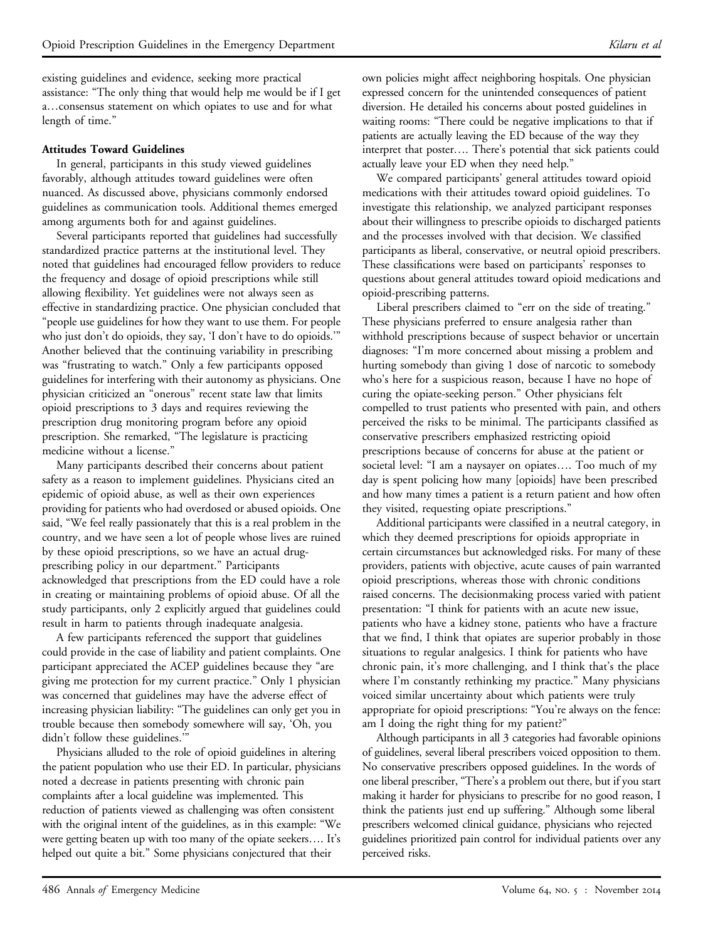existing guidelines and evidence, seeking more practical assistance: "The only thing that would help me would be if I get a...consensus statement on which opiates to use and for what length of time."

#### Attitudes Toward Guidelines

In general, participants in this study viewed guidelines favorably, although attitudes toward guidelines were often nuanced. As discussed above, physicians commonly endorsed guidelines as communication tools. Additional themes emerged among arguments both for and against guidelines.

Several participants reported that guidelines had successfully standardized practice patterns at the institutional level. They noted that guidelines had encouraged fellow providers to reduce the frequency and dosage of opioid prescriptions while still allowing flexibility. Yet guidelines were not always seen as effective in standardizing practice. One physician concluded that "people use guidelines for how they want to use them. For people who just don't do opioids, they say, 'I don't have to do opioids.'" Another believed that the continuing variability in prescribing was "frustrating to watch." Only a few participants opposed guidelines for interfering with their autonomy as physicians. One physician criticized an "onerous" recent state law that limits opioid prescriptions to 3 days and requires reviewing the prescription drug monitoring program before any opioid prescription. She remarked, "The legislature is practicing medicine without a license."

Many participants described their concerns about patient safety as a reason to implement guidelines. Physicians cited an epidemic of opioid abuse, as well as their own experiences providing for patients who had overdosed or abused opioids. One said, "We feel really passionately that this is a real problem in the country, and we have seen a lot of people whose lives are ruined by these opioid prescriptions, so we have an actual drugprescribing policy in our department." Participants acknowledged that prescriptions from the ED could have a role in creating or maintaining problems of opioid abuse. Of all the study participants, only 2 explicitly argued that guidelines could result in harm to patients through inadequate analgesia.

A few participants referenced the support that guidelines could provide in the case of liability and patient complaints. One participant appreciated the ACEP guidelines because they "are giving me protection for my current practice." Only 1 physician was concerned that guidelines may have the adverse effect of increasing physician liability: "The guidelines can only get you in trouble because then somebody somewhere will say, 'Oh, you didn't follow these guidelines.'"

Physicians alluded to the role of opioid guidelines in altering the patient population who use their ED. In particular, physicians noted a decrease in patients presenting with chronic pain complaints after a local guideline was implemented. This reduction of patients viewed as challenging was often consistent with the original intent of the guidelines, as in this example: "We were getting beaten up with too many of the opiate seekers.... It's helped out quite a bit." Some physicians conjectured that their

own policies might affect neighboring hospitals. One physician expressed concern for the unintended consequences of patient diversion. He detailed his concerns about posted guidelines in waiting rooms: "There could be negative implications to that if patients are actually leaving the ED because of the way they interpret that poster.... There's potential that sick patients could actually leave your ED when they need help."

We compared participants' general attitudes toward opioid medications with their attitudes toward opioid guidelines. To investigate this relationship, we analyzed participant responses about their willingness to prescribe opioids to discharged patients and the processes involved with that decision. We classified participants as liberal, conservative, or neutral opioid prescribers. These classifications were based on participants' responses to questions about general attitudes toward opioid medications and opioid-prescribing patterns.

Liberal prescribers claimed to "err on the side of treating." These physicians preferred to ensure analgesia rather than withhold prescriptions because of suspect behavior or uncertain diagnoses: "I'm more concerned about missing a problem and hurting somebody than giving 1 dose of narcotic to somebody who's here for a suspicious reason, because I have no hope of curing the opiate-seeking person." Other physicians felt compelled to trust patients who presented with pain, and others perceived the risks to be minimal. The participants classified as conservative prescribers emphasized restricting opioid prescriptions because of concerns for abuse at the patient or societal level: "I am a naysayer on opiates.... Too much of my day is spent policing how many [opioids] have been prescribed and how many times a patient is a return patient and how often they visited, requesting opiate prescriptions."

Additional participants were classified in a neutral category, in which they deemed prescriptions for opioids appropriate in certain circumstances but acknowledged risks. For many of these providers, patients with objective, acute causes of pain warranted opioid prescriptions, whereas those with chronic conditions raised concerns. The decisionmaking process varied with patient presentation: "I think for patients with an acute new issue, patients who have a kidney stone, patients who have a fracture that we find, I think that opiates are superior probably in those situations to regular analgesics. I think for patients who have chronic pain, it's more challenging, and I think that's the place where I'm constantly rethinking my practice." Many physicians voiced similar uncertainty about which patients were truly appropriate for opioid prescriptions: "You're always on the fence: am I doing the right thing for my patient?"

Although participants in all 3 categories had favorable opinions of guidelines, several liberal prescribers voiced opposition to them. No conservative prescribers opposed guidelines. In the words of one liberal prescriber, "There's a problem out there, but if you start making it harder for physicians to prescribe for no good reason, I think the patients just end up suffering." Although some liberal prescribers welcomed clinical guidance, physicians who rejected guidelines prioritized pain control for individual patients over any perceived risks.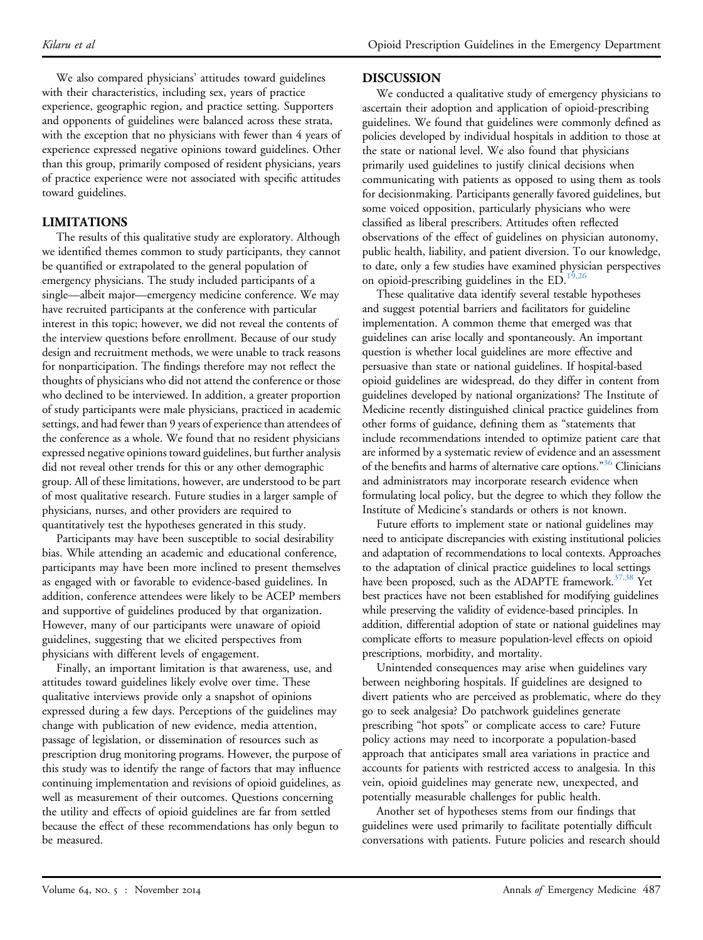We also compared physicians' attitudes toward guidelines with their characteristics, including sex, years of practice experience, geographic region, and practice setting. Supporters and opponents of guidelines were balanced across these strata, with the exception that no physicians with fewer than 4 years of experience expressed negative opinions toward guidelines. Other than this group, primarily composed of resident physicians, years of practice experience were not associated with specific attitudes toward guidelines.

# LIMITATIONS

The results of this qualitative study are exploratory. Although we identified themes common to study participants, they cannot be quantified or extrapolated to the general population of emergency physicians. The study included participants of a single—albeit major—emergency medicine conference. We may have recruited participants at the conference with particular interest in this topic; however, we did not reveal the contents of the interview questions before enrollment. Because of our study design and recruitment methods, we were unable to track reasons for nonparticipation. The findings therefore may not reflect the thoughts of physicians who did not attend the conference or those who declined to be interviewed. In addition, a greater proportion of study participants were male physicians, practiced in academic settings, and had fewer than 9 years of experience than attendees of the conference as a whole. We found that no resident physicians expressed negative opinions toward guidelines, but further analysis did not reveal other trends for this or any other demographic group. All of these limitations, however, are understood to be part of most qualitative research. Future studies in a larger sample of physicians, nurses, and other providers are required to quantitatively test the hypotheses generated in this study.

Participants may have been susceptible to social desirability bias. While attending an academic and educational conference, participants may have been more inclined to present themselves as engaged with or favorable to evidence-based guidelines. In addition, conference attendees were likely to be ACEP members and supportive of guidelines produced by that organization. However, many of our participants were unaware of opioid guidelines, suggesting that we elicited perspectives from physicians with different levels of engagement.

Finally, an important limitation is that awareness, use, and attitudes toward guidelines likely evolve over time. These qualitative interviews provide only a snapshot of opinions expressed during a few days. Perceptions of the guidelines may change with publication of new evidence, media attention, passage of legislation, or dissemination of resources such as prescription drug monitoring programs. However, the purpose of this study was to identify the range of factors that may influence continuing implementation and revisions of opioid guidelines, as well as measurement of their outcomes. Questions concerning the utility and effects of opioid guidelines are far from settled because the effect of these recommendations has only begun to be measured.

# DISCUSSION

We conducted a qualitative study of emergency physicians to ascertain their adoption and application of opioid-prescribing guidelines. We found that guidelines were commonly defined as policies developed by individual hospitals in addition to those at the state or national level. We also found that physicians primarily used guidelines to justify clinical decisions when communicating with patients as opposed to using them as tools for decisionmaking. Participants generally favored guidelines, but some voiced opposition, particularly physicians who were classified as liberal prescribers. Attitudes often reflected observations of the effect of guidelines on physician autonomy, public health, liability, and patient diversion. To our knowledge, to date, only a few studies have examined physician perspectives on opioid-prescribing guidelines in the  $ED.^{19,26}$  $ED.^{19,26}$  $ED.^{19,26}$ 

These qualitative data identify several testable hypotheses and suggest potential barriers and facilitators for guideline implementation. A common theme that emerged was that guidelines can arise locally and spontaneously. An important question is whether local guidelines are more effective and persuasive than state or national guidelines. If hospital-based opioid guidelines are widespread, do they differ in content from guidelines developed by national organizations? The Institute of Medicine recently distinguished clinical practice guidelines from other forms of guidance, defining them as "statements that include recommendations intended to optimize patient care that are informed by a systematic review of evidence and an assessment of the benefits and harms of alternative care options."[36](#page-7-8) Clinicians and administrators may incorporate research evidence when formulating local policy, but the degree to which they follow the Institute of Medicine's standards or others is not known.

Future efforts to implement state or national guidelines may need to anticipate discrepancies with existing institutional policies and adaptation of recommendations to local contexts. Approaches to the adaptation of clinical practice guidelines to local settings have been proposed, such as the ADAPTE framework.<sup>37,38</sup> Yet best practices have not been established for modifying guidelines while preserving the validity of evidence-based principles. In addition, differential adoption of state or national guidelines may complicate efforts to measure population-level effects on opioid prescriptions, morbidity, and mortality.

Unintended consequences may arise when guidelines vary between neighboring hospitals. If guidelines are designed to divert patients who are perceived as problematic, where do they go to seek analgesia? Do patchwork guidelines generate prescribing "hot spots" or complicate access to care? Future policy actions may need to incorporate a population-based approach that anticipates small area variations in practice and accounts for patients with restricted access to analgesia. In this vein, opioid guidelines may generate new, unexpected, and potentially measurable challenges for public health.

Another set of hypotheses stems from our findings that guidelines were used primarily to facilitate potentially difficult conversations with patients. Future policies and research should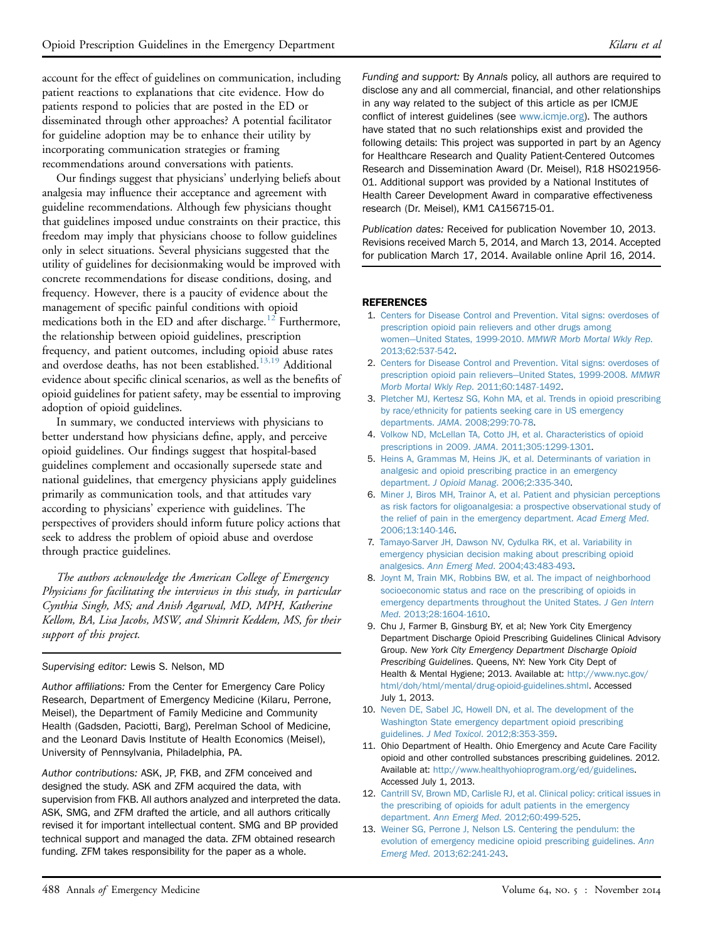account for the effect of guidelines on communication, including patient reactions to explanations that cite evidence. How do patients respond to policies that are posted in the ED or disseminated through other approaches? A potential facilitator for guideline adoption may be to enhance their utility by incorporating communication strategies or framing recommendations around conversations with patients.

Our findings suggest that physicians' underlying beliefs about analgesia may influence their acceptance and agreement with guideline recommendations. Although few physicians thought that guidelines imposed undue constraints on their practice, this freedom may imply that physicians choose to follow guidelines only in select situations. Several physicians suggested that the utility of guidelines for decisionmaking would be improved with concrete recommendations for disease conditions, dosing, and frequency. However, there is a paucity of evidence about the management of specific painful conditions with opioid medications both in the ED and after discharge.<sup>[12](#page-6-5)</sup> Furthermore, the relationship between opioid guidelines, prescription frequency, and patient outcomes, including opioid abuse rates and overdose deaths, has not been established.<sup>[13,19](#page-6-4)</sup> Additional evidence about specific clinical scenarios, as well as the benefits of opioid guidelines for patient safety, may be essential to improving adoption of opioid guidelines.

In summary, we conducted interviews with physicians to better understand how physicians define, apply, and perceive opioid guidelines. Our findings suggest that hospital-based guidelines complement and occasionally supersede state and national guidelines, that emergency physicians apply guidelines primarily as communication tools, and that attitudes vary according to physicians' experience with guidelines. The perspectives of providers should inform future policy actions that seek to address the problem of opioid abuse and overdose through practice guidelines.

The authors acknowledge the American College of Emergency Physicians for facilitating the interviews in this study, in particular Cynthia Singh, MS; and Anish Agarwal, MD, MPH, Katherine Kellom, BA, Lisa Jacobs, MSW, and Shimrit Keddem, MS, for their support of this project.

Supervising editor: Lewis S. Nelson, MD

Author affiliations: From the Center for Emergency Care Policy Research, Department of Emergency Medicine (Kilaru, Perrone, Meisel), the Department of Family Medicine and Community Health (Gadsden, Paciotti, Barg), Perelman School of Medicine, and the Leonard Davis Institute of Health Economics (Meisel), University of Pennsylvania, Philadelphia, PA.

Author contributions: ASK, JP, FKB, and ZFM conceived and designed the study. ASK and ZFM acquired the data, with supervision from FKB. All authors analyzed and interpreted the data. ASK, SMG, and ZFM drafted the article, and all authors critically revised it for important intellectual content. SMG and BP provided technical support and managed the data. ZFM obtained research funding. ZFM takes responsibility for the paper as a whole.

Funding and support: By Annals policy, all authors are required to disclose any and all commercial, financial, and other relationships in any way related to the subject of this article as per ICMJE conflict of interest guidelines (see [www.icmje.org](http://www.icmje.org/)). The authors have stated that no such relationships exist and provided the following details: This project was supported in part by an Agency for Healthcare Research and Quality Patient-Centered Outcomes Research and Dissemination Award (Dr. Meisel), R18 HS021956- 01. Additional support was provided by a National Institutes of Health Career Development Award in comparative effectiveness research (Dr. Meisel), KM1 CA156715-01.

Publication dates: Received for publication November 10, 2013. Revisions received March 5, 2014, and March 13, 2014. Accepted for publication March 17, 2014. Available online April 16, 2014.

#### <span id="page-6-0"></span>REFERENCES

- 1. [Centers for Disease Control and Prevention. Vital signs: overdoses of](http://refhub.elsevier.com/S0196-0644(14)00221-2/sref1) [prescription opioid pain relievers and other drugs among](http://refhub.elsevier.com/S0196-0644(14)00221-2/sref1) [women](http://refhub.elsevier.com/S0196-0644(14)00221-2/sref1)—United States, 1999-2010. [MMWR Morb Mortal Wkly Rep](http://refhub.elsevier.com/S0196-0644(14)00221-2/sref1). [2013;62:537-542.](http://refhub.elsevier.com/S0196-0644(14)00221-2/sref1)
- <span id="page-6-1"></span>2. [Centers for Disease Control and Prevention. Vital signs: overdoses of](http://refhub.elsevier.com/S0196-0644(14)00221-2/sref2) [prescription opioid pain relievers](http://refhub.elsevier.com/S0196-0644(14)00221-2/sref2)—[United States, 1999-2008.](http://refhub.elsevier.com/S0196-0644(14)00221-2/sref2) MMWR [Morb Mortal Wkly Rep](http://refhub.elsevier.com/S0196-0644(14)00221-2/sref2). 2011;60:1487-1492.
- <span id="page-6-2"></span>3. [Pletcher MJ, Kertesz SG, Kohn MA, et al. Trends in opioid prescribing](http://refhub.elsevier.com/S0196-0644(14)00221-2/sref3) [by race/ethnicity for patients seeking care in US emergency](http://refhub.elsevier.com/S0196-0644(14)00221-2/sref3) departments. JAMA[. 2008;299:70-78](http://refhub.elsevier.com/S0196-0644(14)00221-2/sref3).
- 4. [Volkow ND, McLellan TA, Cotto JH, et al. Characteristics of opioid](http://refhub.elsevier.com/S0196-0644(14)00221-2/sref4) prescriptions in 2009. JAMA[. 2011;305:1299-1301](http://refhub.elsevier.com/S0196-0644(14)00221-2/sref4).
- 5. [Heins A, Grammas M, Heins JK, et al. Determinants of variation in](http://refhub.elsevier.com/S0196-0644(14)00221-2/sref5) [analgesic and opioid prescribing practice in an emergency](http://refhub.elsevier.com/S0196-0644(14)00221-2/sref5) department. J Opioid Manag[. 2006;2:335-340.](http://refhub.elsevier.com/S0196-0644(14)00221-2/sref5)
- 6. [Miner J, Biros MH, Trainor A, et al. Patient and physician perceptions](http://refhub.elsevier.com/S0196-0644(14)00221-2/sref6) [as risk factors for oligoanalgesia: a prospective observational study of](http://refhub.elsevier.com/S0196-0644(14)00221-2/sref6) [the relief of pain in the emergency department.](http://refhub.elsevier.com/S0196-0644(14)00221-2/sref6) Acad Emerg Med. [2006;13:140-146](http://refhub.elsevier.com/S0196-0644(14)00221-2/sref6).
- 7. [Tamayo-Sarver JH, Dawson NV, Cydulka RK, et al. Variability in](http://refhub.elsevier.com/S0196-0644(14)00221-2/sref7) [emergency physician decision making about prescribing opioid](http://refhub.elsevier.com/S0196-0644(14)00221-2/sref7) analgesics. Ann Emerg Med[. 2004;43:483-493.](http://refhub.elsevier.com/S0196-0644(14)00221-2/sref7)
- 8. [Joynt M, Train MK, Robbins BW, et al. The impact of neighborhood](http://refhub.elsevier.com/S0196-0644(14)00221-2/sref8) [socioeconomic status and race on the prescribing of opioids in](http://refhub.elsevier.com/S0196-0644(14)00221-2/sref8) [emergency departments throughout the United States.](http://refhub.elsevier.com/S0196-0644(14)00221-2/sref8) J Gen Intern Med[. 2013;28:1604-1610.](http://refhub.elsevier.com/S0196-0644(14)00221-2/sref8)
- <span id="page-6-3"></span>9. Chu J, Farmer B, Ginsburg BY, et al; New York City Emergency Department Discharge Opioid Prescribing Guidelines Clinical Advisory Group. New York City Emergency Department Discharge Opioid Prescribing Guidelines. Queens, NY: New York City Dept of Health & Mental Hygiene; 2013. Available at: [http://www.nyc.gov/](http://www.nyc.gov/html/doh/html/mental/drug-opioid-guidelines.shtml) [html/doh/html/mental/drug-opioid-guidelines.shtml](http://www.nyc.gov/html/doh/html/mental/drug-opioid-guidelines.shtml). Accessed July 1, 2013.
- 10. [Neven DE, Sabel JC, Howell DN, et al. The development of the](http://refhub.elsevier.com/S0196-0644(14)00221-2/sref10) [Washington State emergency department opioid prescribing](http://refhub.elsevier.com/S0196-0644(14)00221-2/sref10) guidelines. J Med Toxicol[. 2012;8:353-359.](http://refhub.elsevier.com/S0196-0644(14)00221-2/sref10)
- 11. Ohio Department of Health. Ohio Emergency and Acute Care Facility opioid and other controlled substances prescribing guidelines. 2012. Available at: [http://www.healthyohioprogram.org/ed/guidelines.](http://www.healthyohioprogram.org/ed/guidelines) Accessed July 1, 2013.
- <span id="page-6-5"></span>12. [Cantrill SV, Brown MD, Carlisle RJ, et al. Clinical policy: critical issues in](http://refhub.elsevier.com/S0196-0644(14)00221-2/sref11) [the prescribing of opioids for adult patients in the emergency](http://refhub.elsevier.com/S0196-0644(14)00221-2/sref11) department. Ann Emerg Med[. 2012;60:499-525](http://refhub.elsevier.com/S0196-0644(14)00221-2/sref11).
- <span id="page-6-4"></span>13. [Weiner SG, Perrone J, Nelson LS. Centering the pendulum: the](http://refhub.elsevier.com/S0196-0644(14)00221-2/sref12) [evolution of emergency medicine opioid prescribing guidelines.](http://refhub.elsevier.com/S0196-0644(14)00221-2/sref12) Ann Emerg Med[. 2013;62:241-243.](http://refhub.elsevier.com/S0196-0644(14)00221-2/sref12)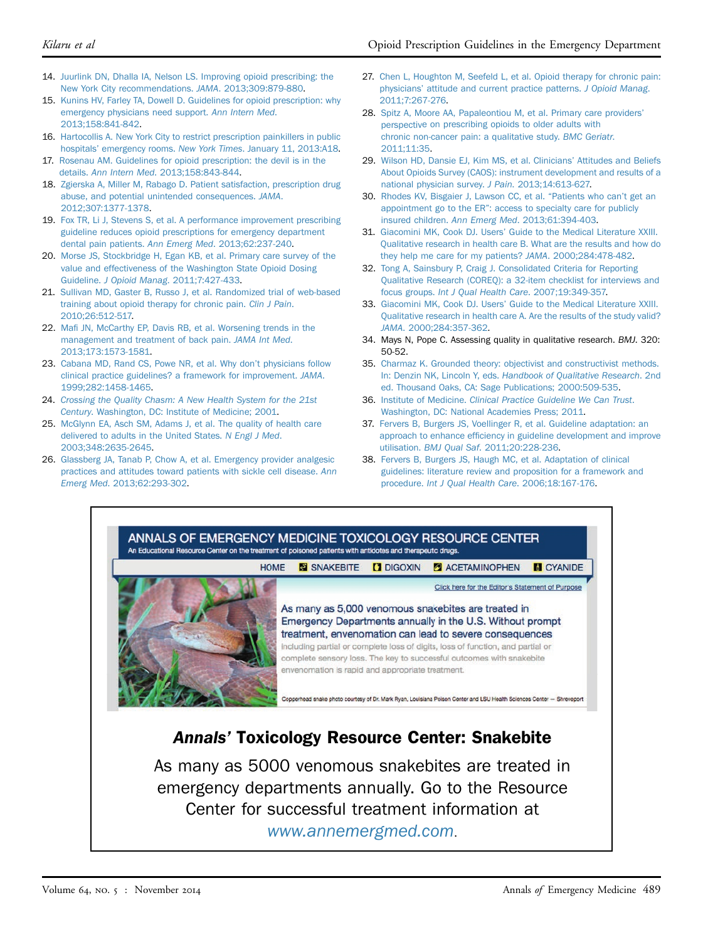- 14. [Juurlink DN, Dhalla IA, Nelson LS. Improving opioid prescribing: the](http://refhub.elsevier.com/S0196-0644(14)00221-2/sref13) [New York City recommendations.](http://refhub.elsevier.com/S0196-0644(14)00221-2/sref13) JAMA. 2013;309:879-880.
- 15. [Kunins HV, Farley TA, Dowell D. Guidelines for opioid prescription: why](http://refhub.elsevier.com/S0196-0644(14)00221-2/sref14) [emergency physicians need support.](http://refhub.elsevier.com/S0196-0644(14)00221-2/sref14) Ann Intern Med. [2013;158:841-842](http://refhub.elsevier.com/S0196-0644(14)00221-2/sref14).
- <span id="page-7-0"></span>16. [Hartocollis A. New York City to restrict prescription painkillers in public](http://refhub.elsevier.com/S0196-0644(14)00221-2/sref15) hospitals' emergency rooms. New York Times[. January 11, 2013:A18.](http://refhub.elsevier.com/S0196-0644(14)00221-2/sref15)
- <span id="page-7-1"></span>17. [Rosenau AM. Guidelines for opioid prescription: the devil is in the](http://refhub.elsevier.com/S0196-0644(14)00221-2/sref16) details. Ann Intern Med[. 2013;158:843-844](http://refhub.elsevier.com/S0196-0644(14)00221-2/sref16).
- 18. [Zgierska A, Miller M, Rabago D. Patient satisfaction, prescription drug](http://refhub.elsevier.com/S0196-0644(14)00221-2/sref17) [abuse, and potential unintended consequences.](http://refhub.elsevier.com/S0196-0644(14)00221-2/sref17) JAMA. [2012;307:1377-1378](http://refhub.elsevier.com/S0196-0644(14)00221-2/sref17).
- <span id="page-7-2"></span>19. [Fox TR, Li J, Stevens S, et al. A performance improvement prescribing](http://refhub.elsevier.com/S0196-0644(14)00221-2/sref18) [guideline reduces opioid prescriptions for emergency department](http://refhub.elsevier.com/S0196-0644(14)00221-2/sref18) [dental pain patients.](http://refhub.elsevier.com/S0196-0644(14)00221-2/sref18) Ann Emerg Med. 2013;62:237-240.
- 20. [Morse JS, Stockbridge H, Egan KB, et al. Primary care survey of the](http://refhub.elsevier.com/S0196-0644(14)00221-2/sref19) [value and effectiveness of the Washington State Opioid Dosing](http://refhub.elsevier.com/S0196-0644(14)00221-2/sref19) Guideline. J Opioid Manag[. 2011;7:427-433.](http://refhub.elsevier.com/S0196-0644(14)00221-2/sref19)
- 21. [Sullivan MD, Gaster B, Russo J, et al. Randomized trial of web-based](http://refhub.elsevier.com/S0196-0644(14)00221-2/sref20) [training about opioid therapy for chronic pain.](http://refhub.elsevier.com/S0196-0644(14)00221-2/sref20) Clin J Pain. [2010;26:512-517.](http://refhub.elsevier.com/S0196-0644(14)00221-2/sref20)
- 22. Mafi [JN, McCarthy EP, Davis RB, et al. Worsening trends in the](http://refhub.elsevier.com/S0196-0644(14)00221-2/sref21) [management and treatment of back pain.](http://refhub.elsevier.com/S0196-0644(14)00221-2/sref21) JAMA Int Med. [2013;173:1573-1581.](http://refhub.elsevier.com/S0196-0644(14)00221-2/sref21)
- <span id="page-7-3"></span>23. [Cabana MD, Rand CS, Powe NR, et al. Why don](http://refhub.elsevier.com/S0196-0644(14)00221-2/sref22)'t physicians follow [clinical practice guidelines? a framework for improvement.](http://refhub.elsevier.com/S0196-0644(14)00221-2/sref22) JAMA. [1999;282:1458-1465.](http://refhub.elsevier.com/S0196-0644(14)00221-2/sref22)
- 24. [Crossing the Quality Chasm: A New Health System for the 21st](http://refhub.elsevier.com/S0196-0644(14)00221-2/sref23) Century[. Washington, DC: Institute of Medicine; 2001](http://refhub.elsevier.com/S0196-0644(14)00221-2/sref23).
- 25. [McGlynn EA, Asch SM, Adams J, et al. The quality of health care](http://refhub.elsevier.com/S0196-0644(14)00221-2/sref24) [delivered to adults in the United States.](http://refhub.elsevier.com/S0196-0644(14)00221-2/sref24) N Engl J Med. [2003;348:2635-2645](http://refhub.elsevier.com/S0196-0644(14)00221-2/sref24).
- 26. [Glassberg JA, Tanab P, Chow A, et al. Emergency provider analgesic](http://refhub.elsevier.com/S0196-0644(14)00221-2/sref25) [practices and attitudes toward patients with sickle cell disease.](http://refhub.elsevier.com/S0196-0644(14)00221-2/sref25) Ann Emerg Med[. 2013;62:293-302.](http://refhub.elsevier.com/S0196-0644(14)00221-2/sref25)
- 27. [Chen L, Houghton M, Seefeld L, et al. Opioid therapy for chronic pain:](http://refhub.elsevier.com/S0196-0644(14)00221-2/sref26) physicians' [attitude and current practice patterns.](http://refhub.elsevier.com/S0196-0644(14)00221-2/sref26) J Opioid Manag. [2011;7:267-276](http://refhub.elsevier.com/S0196-0644(14)00221-2/sref26).
- 28. [Spitz A, Moore AA, Papaleontiou M, et al. Primary care providers](http://refhub.elsevier.com/S0196-0644(14)00221-2/sref27)' [perspective on prescribing opioids to older adults with](http://refhub.elsevier.com/S0196-0644(14)00221-2/sref27) [chronic non-cancer pain: a qualitative study.](http://refhub.elsevier.com/S0196-0644(14)00221-2/sref27) BMC Geriatr. [2011;11:35.](http://refhub.elsevier.com/S0196-0644(14)00221-2/sref27)
- 29. [Wilson HD, Dansie EJ, Kim MS, et al. Clinicians](http://refhub.elsevier.com/S0196-0644(14)00221-2/sref28)' Attitudes and Beliefs [About Opioids Survey \(CAOS\): instrument development and results of a](http://refhub.elsevier.com/S0196-0644(14)00221-2/sref28) [national physician survey.](http://refhub.elsevier.com/S0196-0644(14)00221-2/sref28) J Pain. 2013;14:613-627.
- <span id="page-7-4"></span>30. [Rhodes KV, Bisgaier J, Lawson CC, et al.](http://refhub.elsevier.com/S0196-0644(14)00221-2/sref29) "Patients who can't get an appointment go to the ER"[: access to specialty care for publicly](http://refhub.elsevier.com/S0196-0644(14)00221-2/sref29) insured children. Ann Emerg Med[. 2013;61:394-403](http://refhub.elsevier.com/S0196-0644(14)00221-2/sref29).
- <span id="page-7-5"></span>31. Giacomini MK, Cook DJ. Users' [Guide to the Medical Literature XXIII.](http://refhub.elsevier.com/S0196-0644(14)00221-2/sref30) [Qualitative research in health care B. What are the results and how do](http://refhub.elsevier.com/S0196-0644(14)00221-2/sref30) [they help me care for my patients?](http://refhub.elsevier.com/S0196-0644(14)00221-2/sref30) JAMA. 2000;284:478-482.
- <span id="page-7-6"></span>32. [Tong A, Sainsbury P, Craig J. Consolidated Criteria for Reporting](http://refhub.elsevier.com/S0196-0644(14)00221-2/sref31) [Qualitative Research \(COREQ\): a 32-item checklist for interviews and](http://refhub.elsevier.com/S0196-0644(14)00221-2/sref31) focus groups. [Int J Qual Health Care](http://refhub.elsevier.com/S0196-0644(14)00221-2/sref31). 2007;19:349-357.
- 33. Giacomini MK, Cook DJ. Users' [Guide to the Medical Literature XXIII.](http://refhub.elsevier.com/S0196-0644(14)00221-2/sref32) [Qualitative research in health care A. Are the results of the study valid?](http://refhub.elsevier.com/S0196-0644(14)00221-2/sref32) JAMA[. 2000;284:357-362.](http://refhub.elsevier.com/S0196-0644(14)00221-2/sref32)
- 34. Mays N, Pope C. Assessing quality in qualitative research. BMJ. 320: 50-52.
- <span id="page-7-7"></span>35. [Charmaz K. Grounded theory: objectivist and constructivist methods.](http://refhub.elsevier.com/S0196-0644(14)00221-2/sref33) In: Denzin NK, Lincoln Y, eds. [Handbook of Qualitative Research](http://refhub.elsevier.com/S0196-0644(14)00221-2/sref33). 2nd [ed. Thousand Oaks, CA: Sage Publications; 2000:509-535.](http://refhub.elsevier.com/S0196-0644(14)00221-2/sref33)
- <span id="page-7-8"></span>36. Institute of Medicine. [Clinical Practice Guideline We Can Trust](http://refhub.elsevier.com/S0196-0644(14)00221-2/sref34). [Washington, DC: National Academies Press; 2011.](http://refhub.elsevier.com/S0196-0644(14)00221-2/sref34)
- <span id="page-7-9"></span>37. [Fervers B, Burgers JS, Voellinger R, et al. Guideline adaptation: an](http://refhub.elsevier.com/S0196-0644(14)00221-2/sref35) approach to enhance effi[ciency in guideline development and improve](http://refhub.elsevier.com/S0196-0644(14)00221-2/sref35) utilisation. BMJ Qual Saf[. 2011;20:228-236.](http://refhub.elsevier.com/S0196-0644(14)00221-2/sref35)
- 38. [Fervers B, Burgers JS, Haugh MC, et al. Adaptation of clinical](http://refhub.elsevier.com/S0196-0644(14)00221-2/sref36) [guidelines: literature review and proposition for a framework and](http://refhub.elsevier.com/S0196-0644(14)00221-2/sref36) procedure. [Int J Qual Health Care](http://refhub.elsevier.com/S0196-0644(14)00221-2/sref36). 2006;18:167-176.



emergency departments annually. Go to the Resource Center for successful treatment information at [www.annemergmed.com](http://www.annemergmed.com).